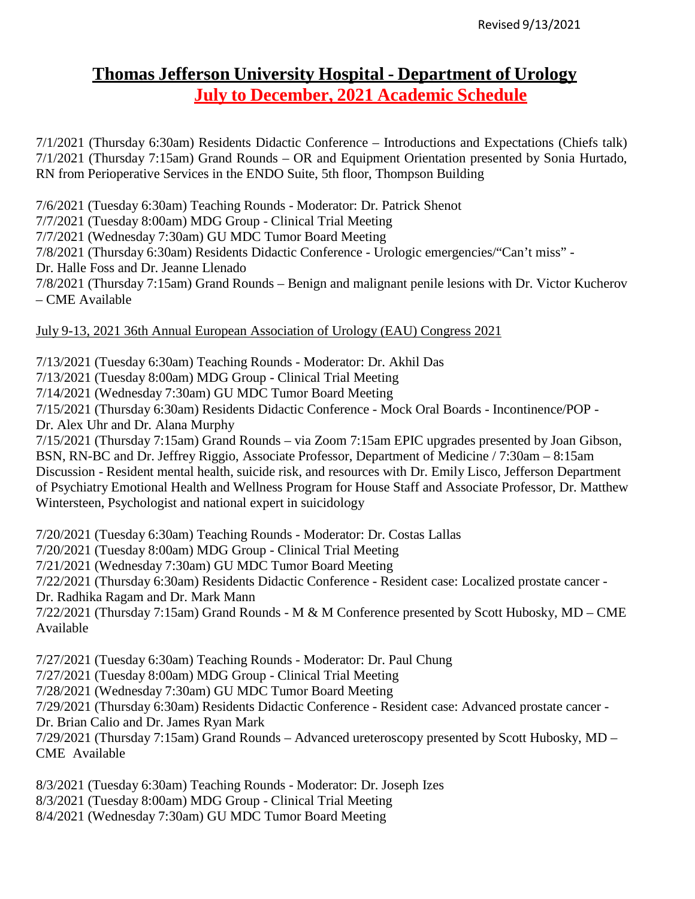# **Thomas Jefferson University Hospital - Department of Urology July to December, 2021 Academic Schedule**

7/1/2021 (Thursday 6:30am) Residents Didactic Conference – Introductions and Expectations (Chiefs talk) 7/1/2021 (Thursday 7:15am) Grand Rounds – OR and Equipment Orientation presented by Sonia Hurtado, RN from Perioperative Services in the ENDO Suite, 5th floor, Thompson Building

7/6/2021 (Tuesday 6:30am) Teaching Rounds - Moderator: Dr. Patrick Shenot

7/7/2021 (Tuesday 8:00am) MDG Group - Clinical Trial Meeting

7/7/2021 (Wednesday 7:30am) GU MDC Tumor Board Meeting

7/8/2021 (Thursday 6:30am) Residents Didactic Conference - Urologic emergencies/"Can't miss" -

Dr. Halle Foss and Dr. Jeanne Llenado

7/8/2021 (Thursday 7:15am) Grand Rounds – Benign and malignant penile lesions with Dr. Victor Kucherov – CME Available

# July 9-13, 2021 36th Annual European Association of Urology (EAU) Congress 2021

7/13/2021 (Tuesday 6:30am) Teaching Rounds - Moderator: Dr. Akhil Das

7/13/2021 (Tuesday 8:00am) MDG Group - Clinical Trial Meeting

7/14/2021 (Wednesday 7:30am) GU MDC Tumor Board Meeting

7/15/2021 (Thursday 6:30am) Residents Didactic Conference - Mock Oral Boards - Incontinence/POP - Dr. Alex Uhr and Dr. Alana Murphy

7/15/2021 (Thursday 7:15am) Grand Rounds – via Zoom 7:15am EPIC upgrades presented by Joan Gibson, BSN, RN-BC and Dr. Jeffrey Riggio, Associate Professor, Department of Medicine / 7:30am – 8:15am Discussion - Resident mental health, suicide risk, and resources with Dr. Emily Lisco, Jefferson Department of Psychiatry Emotional Health and Wellness Program for House Staff and Associate Professor, Dr. Matthew Wintersteen, Psychologist and national expert in suicidology

7/20/2021 (Tuesday 6:30am) Teaching Rounds - Moderator: Dr. Costas Lallas

7/20/2021 (Tuesday 8:00am) MDG Group - Clinical Trial Meeting

7/21/2021 (Wednesday 7:30am) GU MDC Tumor Board Meeting

7/22/2021 (Thursday 6:30am) Residents Didactic Conference - Resident case: Localized prostate cancer -

Dr. Radhika Ragam and Dr. Mark Mann

7/22/2021 (Thursday 7:15am) Grand Rounds - M & M Conference presented by Scott Hubosky, MD – CME Available

7/27/2021 (Tuesday 6:30am) Teaching Rounds - Moderator: Dr. Paul Chung

7/27/2021 (Tuesday 8:00am) MDG Group - Clinical Trial Meeting

7/28/2021 (Wednesday 7:30am) GU MDC Tumor Board Meeting

7/29/2021 (Thursday 6:30am) Residents Didactic Conference - Resident case: Advanced prostate cancer -

Dr. Brian Calio and Dr. James Ryan Mark

7/29/2021 (Thursday 7:15am) Grand Rounds – Advanced ureteroscopy presented by Scott Hubosky, MD – CME Available

8/3/2021 (Tuesday 6:30am) Teaching Rounds - Moderator: Dr. Joseph Izes

8/3/2021 (Tuesday 8:00am) MDG Group - Clinical Trial Meeting

8/4/2021 (Wednesday 7:30am) GU MDC Tumor Board Meeting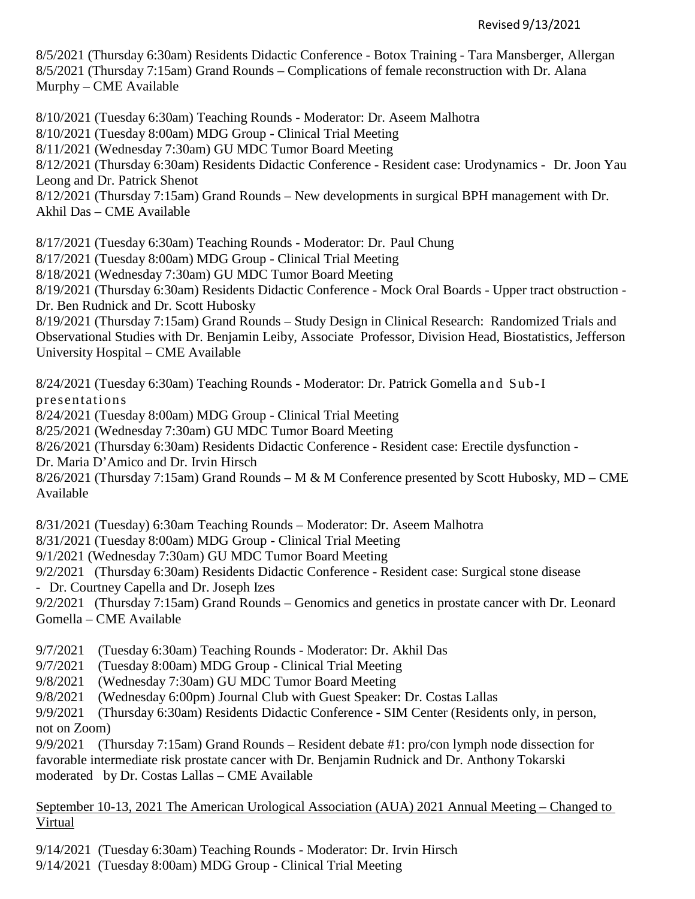#### Revised 9/13/2021

8/5/2021 (Thursday 6:30am) Residents Didactic Conference - Botox Training - Tara Mansberger, Allergan 8/5/2021 (Thursday 7:15am) Grand Rounds – Complications of female reconstruction with Dr. Alana Murphy – CME Available

8/10/2021 (Tuesday 6:30am) Teaching Rounds - Moderator: Dr. Aseem Malhotra

8/10/2021 (Tuesday 8:00am) MDG Group - Clinical Trial Meeting

8/11/2021 (Wednesday 7:30am) GU MDC Tumor Board Meeting

8/12/2021 (Thursday 6:30am) Residents Didactic Conference - Resident case: Urodynamics - Dr. Joon Yau Leong and Dr. Patrick Shenot

8/12/2021 (Thursday 7:15am) Grand Rounds – New developments in surgical BPH management with Dr. Akhil Das – CME Available

8/17/2021 (Tuesday 6:30am) Teaching Rounds - Moderator: Dr. Paul Chung

8/17/2021 (Tuesday 8:00am) MDG Group - Clinical Trial Meeting

8/18/2021 (Wednesday 7:30am) GU MDC Tumor Board Meeting

8/19/2021 (Thursday 6:30am) Residents Didactic Conference - Mock Oral Boards - Upper tract obstruction - Dr. Ben Rudnick and Dr. Scott Hubosky

8/19/2021 (Thursday 7:15am) Grand Rounds – Study Design in Clinical Research: Randomized Trials and Observational Studies with Dr. Benjamin Leiby, Associate Professor, Division Head, Biostatistics, Jefferson University Hospital – CME Available

8/24/2021 (Tuesday 6:30am) Teaching Rounds - Moderator: Dr. Patrick Gomella and Sub-I

presentations

8/24/2021 (Tuesday 8:00am) MDG Group - Clinical Trial Meeting

8/25/2021 (Wednesday 7:30am) GU MDC Tumor Board Meeting

8/26/2021 (Thursday 6:30am) Residents Didactic Conference - Resident case: Erectile dysfunction -

Dr. Maria D'Amico and Dr. Irvin Hirsch

8/26/2021 (Thursday 7:15am) Grand Rounds – M & M Conference presented by Scott Hubosky, MD – CME Available

8/31/2021 (Tuesday) 6:30am Teaching Rounds – Moderator: Dr. Aseem Malhotra

8/31/2021 (Tuesday 8:00am) MDG Group - Clinical Trial Meeting

9/1/2021 (Wednesday 7:30am) GU MDC Tumor Board Meeting

9/2/2021 (Thursday 6:30am) Residents Didactic Conference - Resident case: Surgical stone disease

- Dr. Courtney Capella and Dr. Joseph Izes

9/2/2021 (Thursday 7:15am) Grand Rounds – Genomics and genetics in prostate cancer with Dr. Leonard Gomella – CME Available

9/7/2021 (Tuesday 6:30am) Teaching Rounds - Moderator: Dr. Akhil Das

9/7/2021 (Tuesday 8:00am) MDG Group - Clinical Trial Meeting

9/8/2021 (Wednesday 7:30am) GU MDC Tumor Board Meeting

9/8/2021 (Wednesday 6:00pm) Journal Club with Guest Speaker: Dr. Costas Lallas

9/9/2021 (Thursday 6:30am) Residents Didactic Conference - SIM Center (Residents only, in person, not on Zoom)

9/9/2021 (Thursday 7:15am) Grand Rounds – Resident debate #1: pro/con lymph node dissection for favorable intermediate risk prostate cancer with Dr. Benjamin Rudnick and Dr. Anthony Tokarski moderated by Dr. Costas Lallas – CME Available

September 10-13, 2021 The American Urological Association (AUA) 2021 Annual Meeting – Changed to Virtual

9/14/2021 (Tuesday 6:30am) Teaching Rounds - Moderator: Dr. Irvin Hirsch

9/14/2021 (Tuesday 8:00am) MDG Group - Clinical Trial Meeting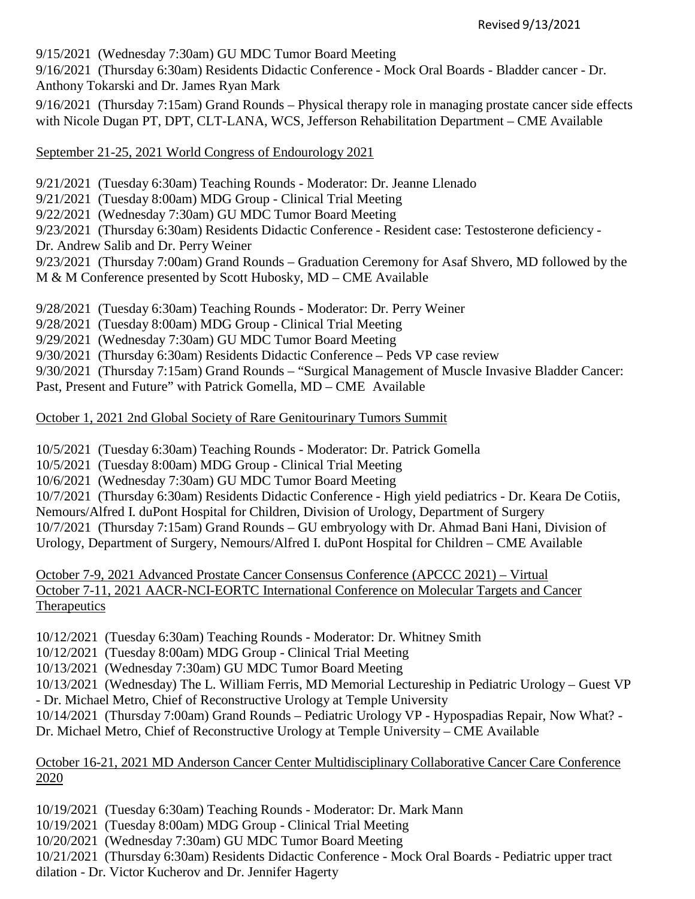9/15/2021 (Wednesday 7:30am) GU MDC Tumor Board Meeting

9/16/2021 (Thursday 6:30am) Residents Didactic Conference - Mock Oral Boards - Bladder cancer - Dr. Anthony Tokarski and Dr. James Ryan Mark

9/16/2021 (Thursday 7:15am) Grand Rounds – Physical therapy role in managing prostate cancer side effects with Nicole Dugan PT, DPT, CLT-LANA, WCS, Jefferson Rehabilitation Department – CME Available

September 21-25, 2021 World Congress of Endourology 2021

9/21/2021 (Tuesday 6:30am) Teaching Rounds - Moderator: Dr. Jeanne Llenado

9/21/2021 (Tuesday 8:00am) MDG Group - Clinical Trial Meeting

9/22/2021 (Wednesday 7:30am) GU MDC Tumor Board Meeting

9/23/2021 (Thursday 6:30am) Residents Didactic Conference - Resident case: Testosterone deficiency -

Dr. Andrew Salib and Dr. Perry Weiner

9/23/2021 (Thursday 7:00am) Grand Rounds – Graduation Ceremony for Asaf Shvero, MD followed by the M & M Conference presented by Scott Hubosky, MD – CME Available

9/28/2021 (Tuesday 6:30am) Teaching Rounds - Moderator: Dr. Perry Weiner

9/28/2021 (Tuesday 8:00am) MDG Group - Clinical Trial Meeting

9/29/2021 (Wednesday 7:30am) GU MDC Tumor Board Meeting

9/30/2021 (Thursday 6:30am) Residents Didactic Conference – Peds VP case review

9/30/2021 (Thursday 7:15am) Grand Rounds – "Surgical Management of Muscle Invasive Bladder Cancer:

Past, Present and Future" with Patrick Gomella, MD – CME Available

October 1, 2021 2nd Global Society of Rare Genitourinary Tumors Summit

10/5/2021 (Tuesday 6:30am) Teaching Rounds - Moderator: Dr. Patrick Gomella

10/5/2021 (Tuesday 8:00am) MDG Group - Clinical Trial Meeting

10/6/2021 (Wednesday 7:30am) GU MDC Tumor Board Meeting

10/7/2021 (Thursday 6:30am) Residents Didactic Conference - High yield pediatrics - Dr. Keara De Cotiis,

Nemours/Alfred I. duPont Hospital for Children, Division of Urology, Department of Surgery

10/7/2021 (Thursday 7:15am) Grand Rounds – GU embryology with Dr. Ahmad Bani Hani, Division of

Urology, Department of Surgery, Nemours/Alfred I. duPont Hospital for Children – CME Available

October 7-9, 2021 Advanced Prostate Cancer Consensus Conference (APCCC 2021) – Virtual October 7-11, 2021 AACR-NCI-EORTC International Conference on Molecular Targets and Cancer **Therapeutics** 

10/12/2021 (Tuesday 6:30am) Teaching Rounds - Moderator: Dr. Whitney Smith

10/12/2021 (Tuesday 8:00am) MDG Group - Clinical Trial Meeting

10/13/2021 (Wednesday 7:30am) GU MDC Tumor Board Meeting

10/13/2021 (Wednesday) The L. William Ferris, MD Memorial Lectureship in Pediatric Urology – Guest VP

- Dr. Michael Metro, Chief of Reconstructive Urology at Temple University

10/14/2021 (Thursday 7:00am) Grand Rounds – Pediatric Urology VP - Hypospadias Repair, Now What? - Dr. Michael Metro, Chief of Reconstructive Urology at Temple University – CME Available

October 16-21, 2021 MD Anderson Cancer Center Multidisciplinary Collaborative Cancer Care Conference 2020

10/19/2021 (Tuesday 6:30am) Teaching Rounds - Moderator: Dr. Mark Mann

10/19/2021 (Tuesday 8:00am) MDG Group - Clinical Trial Meeting

10/20/2021 (Wednesday 7:30am) GU MDC Tumor Board Meeting

10/21/2021 (Thursday 6:30am) Residents Didactic Conference - Mock Oral Boards - Pediatric upper tract

dilation - Dr. Victor Kucherov and Dr. Jennifer Hagerty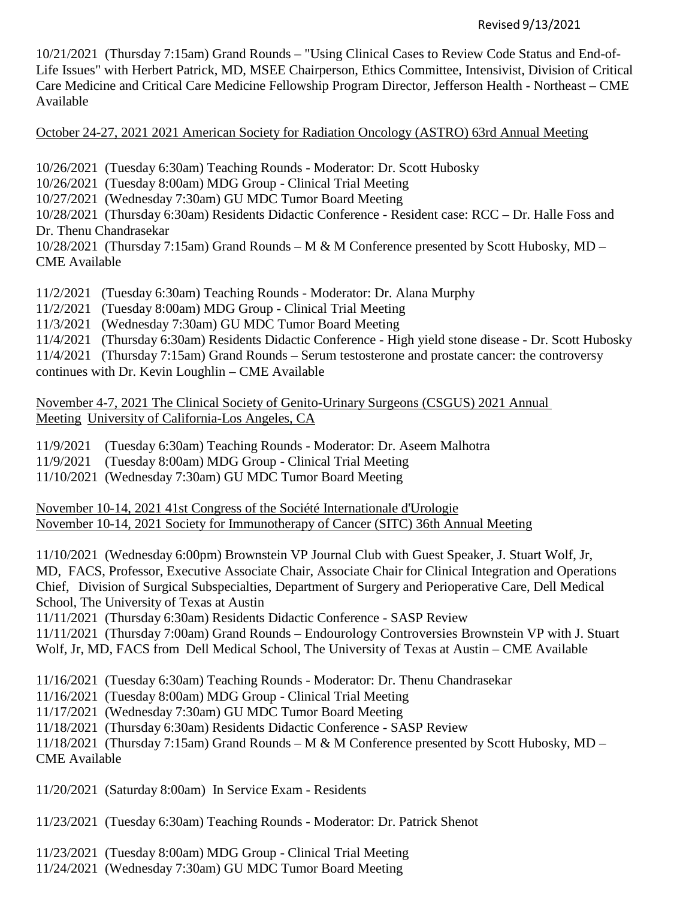## Revised 9/13/2021

10/21/2021 (Thursday 7:15am) Grand Rounds – "Using Clinical Cases to Review Code Status and End-of-Life Issues" with Herbert Patrick, MD, MSEE Chairperson, Ethics Committee, Intensivist, Division of Critical Care Medicine and Critical Care Medicine Fellowship Program Director, Jefferson Health - Northeast – CME Available

October 24-27, 2021 2021 American Society for Radiation Oncology (ASTRO) 63rd Annual Meeting

10/26/2021 (Tuesday 6:30am) Teaching Rounds - Moderator: Dr. Scott Hubosky

10/26/2021 (Tuesday 8:00am) MDG Group - Clinical Trial Meeting

10/27/2021 (Wednesday 7:30am) GU MDC Tumor Board Meeting

10/28/2021 (Thursday 6:30am) Residents Didactic Conference - Resident case: RCC – Dr. Halle Foss and Dr. Thenu Chandrasekar

 $10/28/2021$  (Thursday 7:15am) Grand Rounds – M & M Conference presented by Scott Hubosky, MD – CME Available

11/2/2021 (Tuesday 6:30am) Teaching Rounds - Moderator: Dr. Alana Murphy

11/2/2021 (Tuesday 8:00am) MDG Group - Clinical Trial Meeting

11/3/2021 (Wednesday 7:30am) GU MDC Tumor Board Meeting

11/4/2021 (Thursday 6:30am) Residents Didactic Conference - High yield stone disease - Dr. Scott Hubosky

11/4/2021 (Thursday 7:15am) Grand Rounds – Serum testosterone and prostate cancer: the controversy continues with Dr. Kevin Loughlin – CME Available

November 4-7, 2021 The Clinical Society of Genito-Urinary Surgeons (CSGUS) 2021 Annual Meeting University of California-Los Angeles, CA

11/9/2021 (Tuesday 6:30am) Teaching Rounds - Moderator: Dr. Aseem Malhotra

11/9/2021 (Tuesday 8:00am) MDG Group - Clinical Trial Meeting

11/10/2021 (Wednesday 7:30am) GU MDC Tumor Board Meeting

November 10-14, 2021 41st Congress of the Société Internationale d'Urologie November 10-14, 2021 Society for Immunotherapy of Cancer (SITC) 36th Annual Meeting

11/10/2021 (Wednesday 6:00pm) Brownstein VP Journal Club with Guest Speaker, J. Stuart Wolf, Jr, MD, FACS, Professor, Executive Associate Chair, Associate Chair for Clinical Integration and Operations Chief, Division of Surgical Subspecialties, Department of Surgery and Perioperative Care, Dell Medical School, The University of Texas at Austin

11/11/2021 (Thursday 6:30am) Residents Didactic Conference - SASP Review

11/11/2021 (Thursday 7:00am) Grand Rounds – Endourology Controversies Brownstein VP with J. Stuart Wolf, Jr, MD, FACS from Dell Medical School, The University of Texas at Austin – CME Available

11/16/2021 (Tuesday 6:30am) Teaching Rounds - Moderator: Dr. Thenu Chandrasekar

11/16/2021 (Tuesday 8:00am) MDG Group - Clinical Trial Meeting

11/17/2021 (Wednesday 7:30am) GU MDC Tumor Board Meeting

11/18/2021 (Thursday 6:30am) Residents Didactic Conference - SASP Review

11/18/2021 (Thursday 7:15am) Grand Rounds – M & M Conference presented by Scott Hubosky, MD –

CME Available

11/20/2021 (Saturday 8:00am) In Service Exam - Residents

11/23/2021 (Tuesday 6:30am) Teaching Rounds - Moderator: Dr. Patrick Shenot

11/23/2021 (Tuesday 8:00am) MDG Group - Clinical Trial Meeting

11/24/2021 (Wednesday 7:30am) GU MDC Tumor Board Meeting